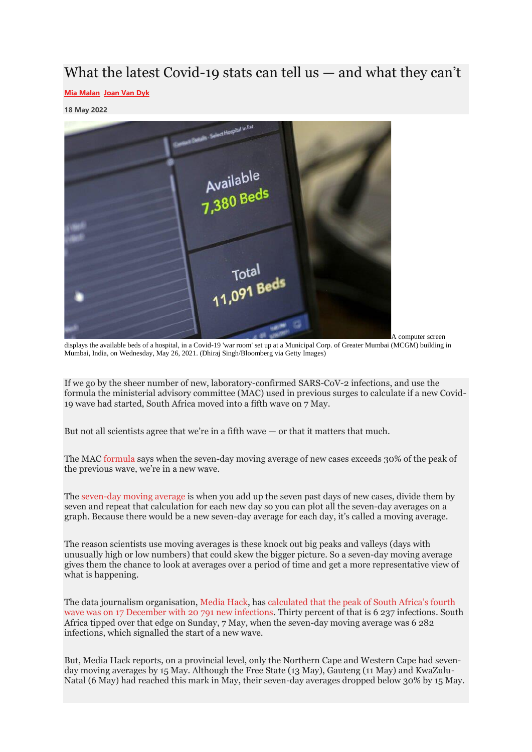# What the latest Covid-19 stats can tell us — and what they can't

### **[Mia Malan](https://mg.co.za/author/mia-malan/) [Joan Van Dyk](https://mg.co.za/author/joan-van-dyk/)**

#### **18 May 2022**



A computer screen

displays the available beds of a hospital, in a Covid-19 'war room' set up at a Municipal Corp. of Greater Mumbai (MCGM) building in Mumbai, India, on Wednesday, May 26, 2021. (Dhiraj Singh/Bloomberg via Getty Images)

If we go by the sheer number of new, laboratory-confirmed SARS-CoV-2 infections, and use the formula the ministerial advisory committee (MAC) used in previous surges to calculate if a new Covid-19 wave had started, South Africa moved into a fifth wave on 7 May.

But not all scientists agree that we're in a fifth wave — or that it matters that much.

The MAC [formula](https://sacoronavirus.co.za/wp-content/uploads/2020/12/Secondwave-Appendix.pdf) says when the seven-day moving average of new cases exceeds 30% of the peak of the previous wave, we're in a new wave.

The [seven-day moving average](https://methods.sagepub.com/reference/encyclopedia-of-survey-research-methods/n497.xml) is when you add up the seven past days of new cases, divide them by seven and repeat that calculation for each new day so you can plot all the seven-day averages on a graph. Because there would be a new seven-day average for each day, it's called a moving average.

The reason scientists use moving averages is these knock out big peaks and valleys (days with unusually high or low numbers) that could skew the bigger picture. So a seven-day moving average gives them the chance to look at averages over a period of time and get a more representative view of what is happening.

The data journalism organisation, [Media Hack,](https://mediahack.co.za/) has [calculated that the peak of South Africa's fourth](https://subscriptions.touchbasepro.com/t/d-CDD67E724328480F2540EF23F30FEDED)  [wave was on 17 December with 20 791 new infections.](https://subscriptions.touchbasepro.com/t/d-CDD67E724328480F2540EF23F30FEDED) Thirty percent of that is 6 237 infections. South Africa tipped over that edge on Sunday, 7 May, when the seven-day moving average was 6 282 infections, which signalled the start of a new wave.

But, Media Hack reports, on a provincial level, only the Northern Cape and Western Cape had sevenday moving averages by 15 May. Although the Free State (13 May), Gauteng (11 May) and KwaZulu-Natal (6 May) had reached this mark in May, their seven-day averages dropped below 30% by 15 May.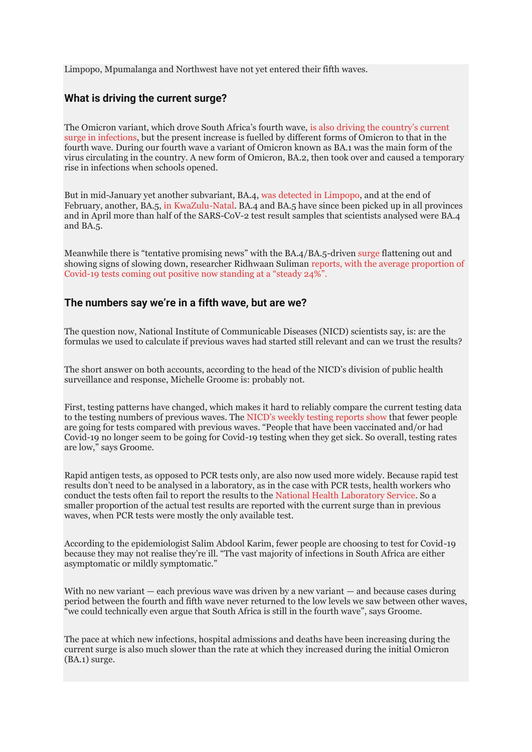Limpopo, Mpumalanga and Northwest have not yet entered their fifth waves.

# **What is driving the current surge?**

The Omicron variant, which drove South Africa's fourth wave, [is also driving the country's current](https://www.nicd.ac.za/omicron-lineages-ba-4-and-ba-5-faq/)  [surge in infections,](https://www.nicd.ac.za/omicron-lineages-ba-4-and-ba-5-faq/) but the present increase is fuelled by different forms of Omicron to that in the fourth wave. During our fourth wave a variant of Omicron known as BA.1 was the main form of the virus circulating in the country. A new form of Omicron, BA.2, then took over and caused a temporary rise in infections when schools opened.

But in mid-January yet another subvariant, BA.4, [was detected in Limpopo,](https://www.nicd.ac.za/omicron-lineages-ba-4-and-ba-5-faq/) and at the end of February, another, BA.5, [in KwaZulu-Natal.](https://www.nicd.ac.za/omicron-lineages-ba-4-and-ba-5-faq/) BA.4 and BA.5 have since been picked up in all provinces and in April more than half of the SARS-CoV-2 test result samples that scientists analysed were BA.4 and BA.5.

Meanwhile there is "tentative promising news" with the BA.4/BA.5-driven [surge](https://twitter.com/hashtag/5thWave?src=hashtag_click) flattening out and showing signs of slowing down, researcher Ridhwaan Suliman reports, with [the average proportion of](https://twitter.com/rid1tweets/status/1525930225359540225)  Covid-[19 tests coming out positive now standing at a "steady 24%".](https://twitter.com/rid1tweets/status/1525930225359540225)

## **The numbers say we're in a fifth wave, but are we?**

The question now, National Institute of Communicable Diseases (NICD) scientists say, is: are the formulas we used to calculate if previous waves had started still relevant and can we trust the results?

The short answer on both accounts, according to the head of the NICD's division of public health surveillance and response, Michelle Groome is: probably not.

First, testing patterns have changed, which makes it hard to reliably compare the current testing data to the testing numbers of previous waves. The [NICD's weekly testing reports show](https://www.nicd.ac.za/diseases-a-z-index/disease-index-covid-19/surveillance-reports/weekly-testing-summary/) that fewer people are going for tests compared with previous waves. "People that have been vaccinated and/or had Covid-19 no longer seem to be going for Covid-19 testing when they get sick. So overall, testing rates are low," says Groome.

Rapid antigen tests, as opposed to PCR tests only, are also now used more widely. Because rapid test results don't need to be analysed in a laboratory, as in the case with PCR tests, health workers who conduct the tests often fail to report the results to the [National Health Laboratory Service.](https://www.nhls.ac.za/) So a smaller proportion of the actual test results are reported with the current surge than in previous waves, when PCR tests were mostly the only available test.

According to the epidemiologist Salim Abdool Karim, fewer people are choosing to test for Covid-19 because they may not realise they're ill. "The vast majority of infections in South Africa are either asymptomatic or mildly symptomatic."

With no new variant  $-$  each previous wave was driven by a new variant  $-$  and because cases during period between the fourth and fifth wave never returned to the low levels we saw between other waves, "we could technically even argue that South Africa is still in the fourth wave", says Groome.

The pace at which new infections, hospital admissions and deaths have been increasing during the current surge is also much slower than the rate at which they increased during the initial Omicron (BA.1) surge.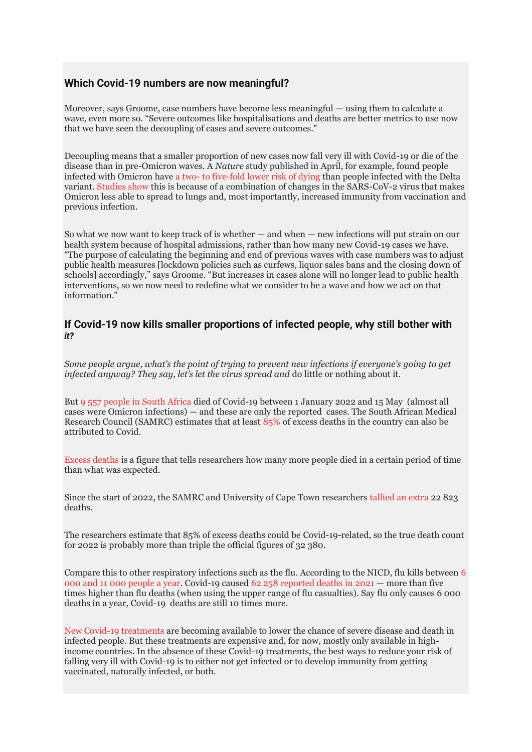# **Which Covid-19 numbers are now meaningful?**

Moreover, says Groome, case numbers have become less meaningful — using them to calculate a wave, even more so. "Severe outcomes like hospitalisations and deaths are better metrics to use now that we have seen the decoupling of cases and severe outcomes."

Decoupling means that a smaller proportion of new cases now fall very ill with Covid-19 or die of the disease than in pre-Omicron waves. A *Nature* study published in April, for example, found people infected with Omicron have a two- [to five-fold lower risk of dying](https://www.nature.com/articles/s41577-022-00720-5) than people infected with the Delta variant. [Studies show](https://www.nature.com/articles/s41577-022-00678-4) this is because of a combination of changes in the SARS-CoV-2 virus that makes Omicron less able to spread to lungs and, most importantly, increased immunity from vaccination and previous infection.

So what we now want to keep track of is whether — and when — new infections will put strain on our health system because of hospital admissions, rather than how many new Covid-19 cases we have. "The purpose of calculating the beginning and end of previous waves with case numbers was to adjust public health measures [lockdown policies such as curfews, liquor sales bans and the closing down of schools] accordingly," says Groome. "But increases in cases alone will no longer lead to public health interventions, so we now need to redefine what we consider to be a wave and how we act on that information."

## **If Covid-19 now kills smaller proportions of infected people, why still bother with**  *it?*

*Some people argue, what's the point of trying to prevent new infections if everyone's going to get infected anyway? They say, let's let the virus spread and* do little or nothing about it.

But 9 557 [people in South Africa](https://bhekisisa.org/resources/2020-09-21-mapping-a-virus-tracking-the-spread-of-south-africas-covid-19-outbreak/) died of Covid-19 between 1 January 2022 and 15 May (almost all cases were Omicron infections) — and these are only the reported cases. The South African Medical Research Council (SAMRC) estimates that at least [85%](http://samj.org.za/index.php/samj/article/view/13304/9880) of excess deaths in the country can also be attributed to Covid.

[Excess deaths](https://www.samrc.ac.za/media-release/merits-and-benefits-studying-excess-deaths) is a figure that tells researchers how many more people died in a certain period of time than what was expected.

Since the start of 2022, the SAMRC and University of Cape Town researchers [tallied an extra](https://www.samrc.ac.za/sites/default/files/files/2022-01-12/weekly8Jan2022.pdf) 22 823 deaths.

The researchers estimate that 85% of excess deaths could be Covid-19-related, so the true death count for 2022 is probably more than triple the official figures of 32 380.

Compare this to other respiratory infections such as the flu. According to the NICD, flu kills between [6](https://www.nicd.ac.za/influenza-season-approaching/)  [000 and 11 000 people a year.](https://www.nicd.ac.za/influenza-season-approaching/) Covid-19 caused [62 258 reported deaths in 2021](https://bhekisisa.org/resources/2020-09-21-mapping-a-virus-tracking-the-spread-of-south-africas-covid-19-outbreak/) — more than five times higher than flu deaths (when using the upper range of flu casualties). Say flu only causes 6 000 deaths in a year, Covid-19 deaths are still 10 times more.

[New Covid-19 treatments](https://bhekisisa.org/article/2022-01-28-a-few-pills-a-day-could-keep-severe-covid-away-what-you-need-to-know-about-two-new-treatments/) are becoming available to lower the chance of severe disease and death in infected people. But these treatments are expensive and, for now, mostly only available in highincome countries. In the absence of these Covid-19 treatments, the best ways to reduce your risk of falling very ill with Covid-19 is to either not get infected or to develop immunity from getting vaccinated, naturally infected, or both.